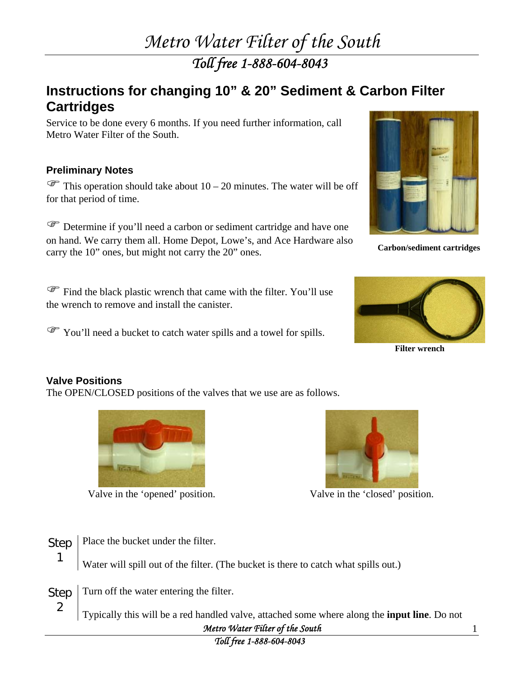## *Metro Water Filter of the South*

*Toll free 1-888-604-8043* 

#### **Instructions for changing 10" & 20" Sediment & Carbon Filter Cartridges**

Service to be done every 6 months. If you need further information, call Metro Water Filter of the South.

#### **Preliminary Notes**

 $\mathcal{F}$  This operation should take about 10 – 20 minutes. The water will be off for that period of time.

) Determine if you'll need a carbon or sediment cartridge and have one on hand. We carry them all. Home Depot, Lowe's, and Ace Hardware also carry the 10" ones, but might not carry the 20" ones. **Carbon/sediment cartridges** 

) Find the black plastic wrench that came with the filter. You'll use the wrench to remove and install the canister.

You'll need a bucket to catch water spills and a towel for spills.





**Filter wrench** 

#### **Valve Positions**

1

2

The OPEN/CLOSED positions of the valves that we use are as follows.



Valve in the 'opened' position. Valve in the 'closed' position.



Step Place the bucket under the filter.

Water will spill out of the filter. (The bucket is there to catch what spills out.)

Step Turn off the water entering the filter.

> *Metro Water Filter of the South*  Typically this will be a red handled valve, attached some where along the **input line**. Do not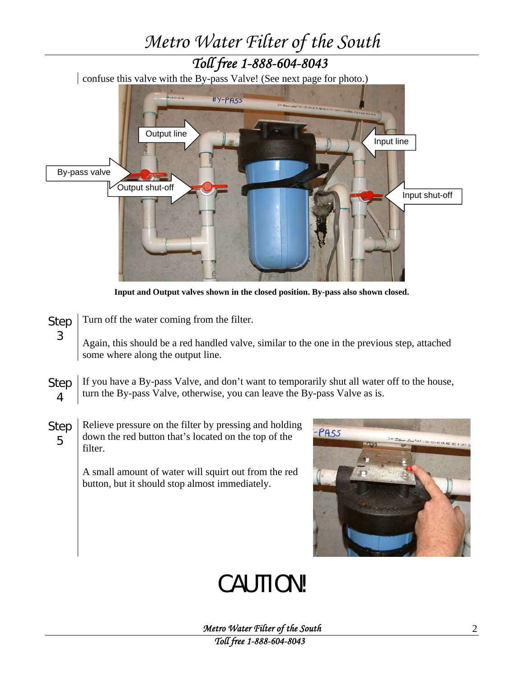# *Metro Water Filter of the South Toll free 1-888-604-8043*  confuse this valve with the By-pass Valve! (See next page for photo.) BY-PA55 Output line and the Input line of the Input line By-pass valve Output shut-off Input shut-off

**Input and Output valves shown in the closed position. By-pass also shown closed.** 

Step Turn off the water coming from the filter.

3

Again, this should be a red handled valve, similar to the one in the previous step, attached some where along the output line.

- Step 4 If you have a By-pass Valve, and don't want to temporarily shut all water off to the house, turn the By-pass Valve, otherwise, you can leave the By-pass Valve as is.
- Step 5 Relieve pressure on the filter by pressing and holding down the red button that's located on the top of the filter.

A small amount of water will squirt out from the red button, but it should stop almost immediately.



## CAUTION!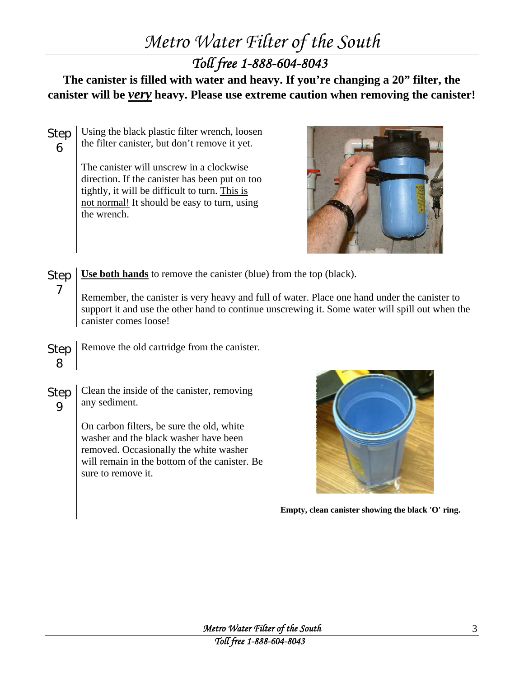### *Metro Water Filter of the South*

*Toll free 1-888-604-8043* 

**The canister is filled with water and heavy. If you're changing a 20" filter, the canister will be** *very* **heavy. Please use extreme caution when removing the canister!** 

Using the black plastic filter wrench, loosen

will remain in the bottom of the canister. Be

sure to remove it.

Step

6 the filter canister, but don't remove it yet. The canister will unscrew in a clockwise direction. If the canister has been put on too tightly, it will be difficult to turn. This is not normal! It should be easy to turn, using the wrench. Step 7 **Use both hands** to remove the canister (blue) from the top (black). Remember, the canister is very heavy and full of water. Place one hand under the canister to support it and use the other hand to continue unscrewing it. Some water will spill out when the canister comes loose! Step 8 Remove the old cartridge from the canister. Step 9 Clean the inside of the canister, removing any sediment. On carbon filters, be sure the old, white washer and the black washer have been removed. Occasionally the white washer

**Empty, clean canister showing the black 'O' ring.**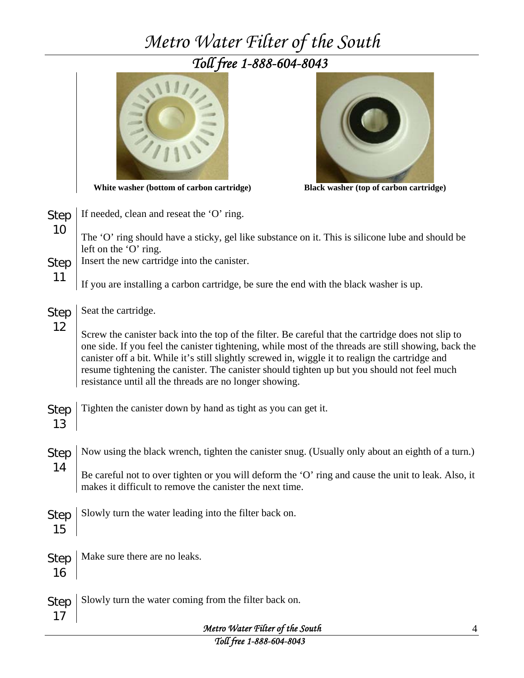## *Metro Water Filter of the South*

### *Toll free 1-888-604-8043*



**White washer (bottom of carbon cartridge) Black washer (top of carbon cartridge)** 



| <b>Step</b><br>10 | If needed, clean and reseat the 'O' ring.                                                                                                                                                                                                                                                                                                                                                                                                                                |   |
|-------------------|--------------------------------------------------------------------------------------------------------------------------------------------------------------------------------------------------------------------------------------------------------------------------------------------------------------------------------------------------------------------------------------------------------------------------------------------------------------------------|---|
|                   | The 'O' ring should have a sticky, gel like substance on it. This is silicone lube and should be<br>left on the 'O' ring.                                                                                                                                                                                                                                                                                                                                                |   |
| Step<br>11        | Insert the new cartridge into the canister.                                                                                                                                                                                                                                                                                                                                                                                                                              |   |
|                   | If you are installing a carbon cartridge, be sure the end with the black washer is up.                                                                                                                                                                                                                                                                                                                                                                                   |   |
| <b>Step</b><br>12 | Seat the cartridge.                                                                                                                                                                                                                                                                                                                                                                                                                                                      |   |
|                   | Screw the canister back into the top of the filter. Be careful that the cartridge does not slip to<br>one side. If you feel the canister tightening, while most of the threads are still showing, back the<br>canister off a bit. While it's still slightly screwed in, wiggle it to realign the cartridge and<br>resume tightening the canister. The canister should tighten up but you should not feel much<br>resistance until all the threads are no longer showing. |   |
| <b>Step</b><br>13 | Tighten the canister down by hand as tight as you can get it.                                                                                                                                                                                                                                                                                                                                                                                                            |   |
| <b>Step</b><br>14 | Now using the black wrench, tighten the canister snug. (Usually only about an eighth of a turn.)                                                                                                                                                                                                                                                                                                                                                                         |   |
|                   | Be careful not to over tighten or you will deform the 'O' ring and cause the unit to leak. Also, it<br>makes it difficult to remove the canister the next time.                                                                                                                                                                                                                                                                                                          |   |
| <b>Step</b><br>15 | Slowly turn the water leading into the filter back on.                                                                                                                                                                                                                                                                                                                                                                                                                   |   |
| <b>Step</b><br>16 | Make sure there are no leaks.                                                                                                                                                                                                                                                                                                                                                                                                                                            |   |
| <b>Step</b><br>17 | Slowly turn the water coming from the filter back on.                                                                                                                                                                                                                                                                                                                                                                                                                    |   |
|                   | Metro Water Filter of the South                                                                                                                                                                                                                                                                                                                                                                                                                                          | 4 |